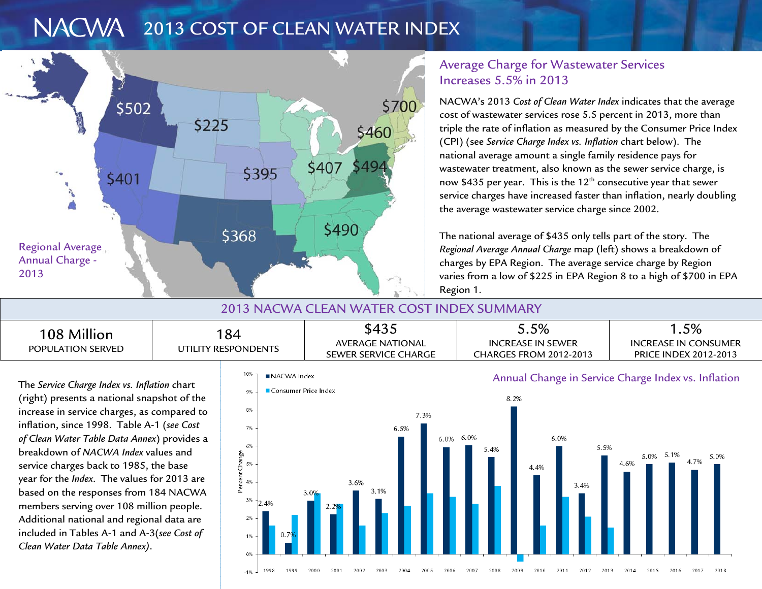#### NACWA 1 2013 COST OF CLEAN WATER INDEX



## Average Charge for Wastewater Services Increases 5.5% in 2013

NACWA's 2013 *Cost of Clean Water Index* indicates that the average cost of wastewater services rose 5.5 percent in 2013, more than triple the rate of inflation as measured by the Consumer Price Index (CPI) (see *Service Charge Index vs. Inflation* chart below). The national average amount a single family residence pays for wastewater treatment, also known as the sewer service charge, is now \$435 per year. This is the  $12<sup>th</sup>$  consecutive year that sewer service charges have increased faster than inflation, nearly doubling the average wastewater service charge since 2002.

The national average of \$435 only tells part of the story. The *Regional Average Annual Charge* map (left) shows a breakdown of charges by EPA Region. The average service charge by Region varies from a low of \$225 in EPA Region 8 to a high of \$700 in EPA Region 1.

## 2013 NACWA CLEAN WATER COST INDEX SUMMARY